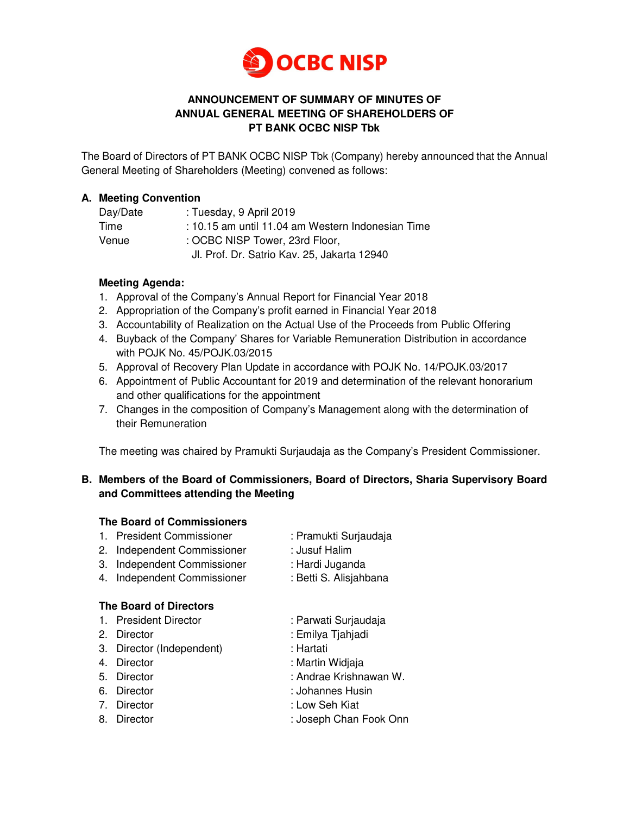

# **ANNOUNCEMENT OF SUMMARY OF MINUTES OF ANNUAL GENERAL MEETING OF SHAREHOLDERS OF PT BANK OCBC NISP Tbk**

The Board of Directors of PT BANK OCBC NISP Tbk (Company) hereby announced that the Annual General Meeting of Shareholders (Meeting) convened as follows:

# **A. Meeting Convention**

| Day/Date | : Tuesday, 9 April 2019                           |  |
|----------|---------------------------------------------------|--|
| Time     | : 10.15 am until 11.04 am Western Indonesian Time |  |
| Venue    | : OCBC NISP Tower, 23rd Floor,                    |  |
|          | Jl. Prof. Dr. Satrio Kav. 25, Jakarta 12940       |  |

# **Meeting Agenda:**

- 1. Approval of the Company's Annual Report for Financial Year 2018
- 2. Appropriation of the Company's profit earned in Financial Year 2018
- 3. Accountability of Realization on the Actual Use of the Proceeds from Public Offering
- 4. Buyback of the Company' Shares for Variable Remuneration Distribution in accordance with POJK No. 45/POJK.03/2015
- 5. Approval of Recovery Plan Update in accordance with POJK No. 14/POJK.03/2017
- 6. Appointment of Public Accountant for 2019 and determination of the relevant honorarium and other qualifications for the appointment
- 7. Changes in the composition of Company's Management along with the determination of their Remuneration

The meeting was chaired by Pramukti Surjaudaja as the Company's President Commissioner.

# **B. Members of the Board of Commissioners, Board of Directors, Sharia Supervisory Board and Committees attending the Meeting**

#### **The Board of Commissioners**

| 1. President Commissioner   | : Pramukti Surjaudaja |
|-----------------------------|-----------------------|
| 2. Independent Commissioner | : Jusuf Halim         |

- 
- 3. Independent Commissioner : Hardi Juganda
- 3. Independent Commissioner : Hardi Juganda<br>4. Independent Commissioner : Betti S. Alisjahbana

# **The Board of Directors**

- 1. President Director : Parwati Surjaudaja
- 2. Director : Emilya Tjahjadi
- 3. Director (Independent) : Hartati
- 4. Director : Martin Widjaja
- 5. Director : Andrae Krishnawan W.
- 6. Director : Johannes Husin
- 7. Director : Low Seh Kiat
- 8. Director : Joseph Chan Fook Onn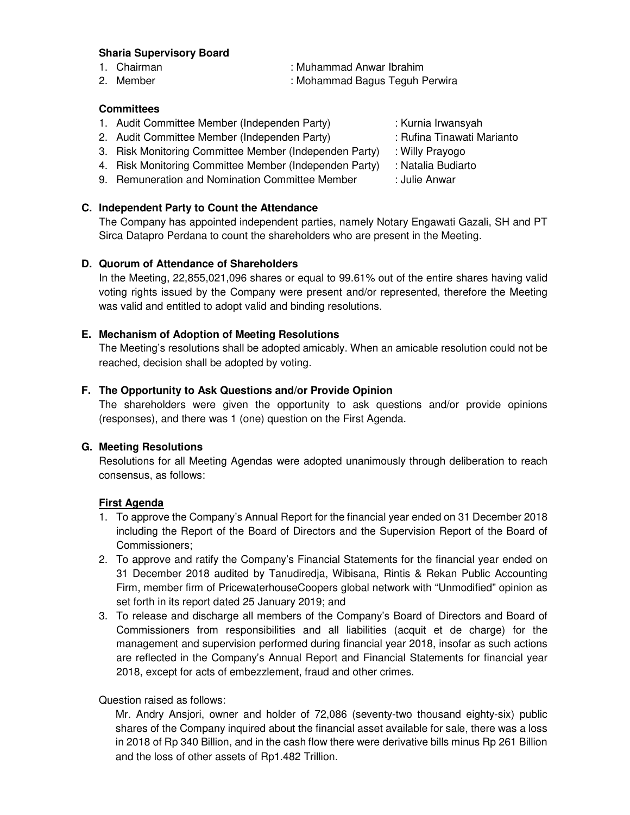#### **Sharia Supervisory Board**

- 
- 

# 1. Chairman : Muhammad Anwar Ibrahim

2. Member : Mohammad Bagus Teguh Perwira

# **Committees**

- 1. Audit Committee Member (Independen Party) : Kurnia Irwansyah
- 2. Audit Committee Member (Independen Party) : Rufina Tinawati Marianto
- 3. Risk Monitoring Committee Member (Independen Party) : Willy Prayogo
- 4. Risk Monitoring Committee Member (Independen Party) : Natalia Budiarto
- 9. Remuneration and Nomination Committee Member : Julie Anwar

# **C. Independent Party to Count the Attendance**

The Company has appointed independent parties, namely Notary Engawati Gazali, SH and PT Sirca Datapro Perdana to count the shareholders who are present in the Meeting.

# **D. Quorum of Attendance of Shareholders**

In the Meeting, 22,855,021,096 shares or equal to 99.61% out of the entire shares having valid voting rights issued by the Company were present and/or represented, therefore the Meeting was valid and entitled to adopt valid and binding resolutions.

#### **E. Mechanism of Adoption of Meeting Resolutions**

The Meeting's resolutions shall be adopted amicably. When an amicable resolution could not be reached, decision shall be adopted by voting.

#### **F. The Opportunity to Ask Questions and/or Provide Opinion**

The shareholders were given the opportunity to ask questions and/or provide opinions (responses), and there was 1 (one) question on the First Agenda.

#### **G. Meeting Resolutions**

Resolutions for all Meeting Agendas were adopted unanimously through deliberation to reach consensus, as follows:

#### **First Agenda**

- 1. To approve the Company's Annual Report for the financial year ended on 31 December 2018 including the Report of the Board of Directors and the Supervision Report of the Board of Commissioners;
- 2. To approve and ratify the Company's Financial Statements for the financial year ended on 31 December 2018 audited by Tanudiredja, Wibisana, Rintis & Rekan Public Accounting Firm, member firm of PricewaterhouseCoopers global network with "Unmodified" opinion as set forth in its report dated 25 January 2019; and
- 3. To release and discharge all members of the Company's Board of Directors and Board of Commissioners from responsibilities and all liabilities (acquit et de charge) for the management and supervision performed during financial year 2018, insofar as such actions are reflected in the Company's Annual Report and Financial Statements for financial year 2018, except for acts of embezzlement, fraud and other crimes.

Question raised as follows:

Mr. Andry Ansjori, owner and holder of 72,086 (seventy-two thousand eighty-six) public shares of the Company inquired about the financial asset available for sale, there was a loss in 2018 of Rp 340 Billion, and in the cash flow there were derivative bills minus Rp 261 Billion and the loss of other assets of Rp1.482 Trillion.

- 
- 
- 
- 
-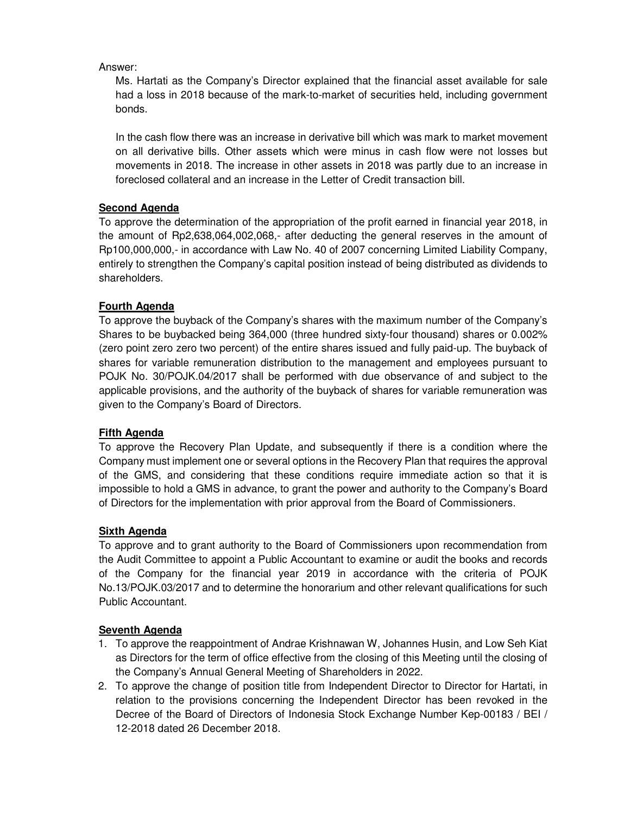Answer:

Ms. Hartati as the Company's Director explained that the financial asset available for sale had a loss in 2018 because of the mark-to-market of securities held, including government bonds.

In the cash flow there was an increase in derivative bill which was mark to market movement on all derivative bills. Other assets which were minus in cash flow were not losses but movements in 2018. The increase in other assets in 2018 was partly due to an increase in foreclosed collateral and an increase in the Letter of Credit transaction bill.

# **Second Agenda**

To approve the determination of the appropriation of the profit earned in financial year 2018, in the amount of Rp2,638,064,002,068,- after deducting the general reserves in the amount of Rp100,000,000,- in accordance with Law No. 40 of 2007 concerning Limited Liability Company, entirely to strengthen the Company's capital position instead of being distributed as dividends to shareholders.

# **Fourth Agenda**

To approve the buyback of the Company's shares with the maximum number of the Company's Shares to be buybacked being 364,000 (three hundred sixty-four thousand) shares or 0.002% (zero point zero zero two percent) of the entire shares issued and fully paid-up. The buyback of shares for variable remuneration distribution to the management and employees pursuant to POJK No. 30/POJK.04/2017 shall be performed with due observance of and subject to the applicable provisions, and the authority of the buyback of shares for variable remuneration was given to the Company's Board of Directors.

#### **Fifth Agenda**

To approve the Recovery Plan Update, and subsequently if there is a condition where the Company must implement one or several options in the Recovery Plan that requires the approval of the GMS, and considering that these conditions require immediate action so that it is impossible to hold a GMS in advance, to grant the power and authority to the Company's Board of Directors for the implementation with prior approval from the Board of Commissioners.

#### **Sixth Agenda**

To approve and to grant authority to the Board of Commissioners upon recommendation from the Audit Committee to appoint a Public Accountant to examine or audit the books and records of the Company for the financial year 2019 in accordance with the criteria of POJK No.13/POJK.03/2017 and to determine the honorarium and other relevant qualifications for such Public Accountant.

#### **Seventh Agenda**

- 1. To approve the reappointment of Andrae Krishnawan W, Johannes Husin, and Low Seh Kiat as Directors for the term of office effective from the closing of this Meeting until the closing of the Company's Annual General Meeting of Shareholders in 2022.
- 2. To approve the change of position title from Independent Director to Director for Hartati, in relation to the provisions concerning the Independent Director has been revoked in the Decree of the Board of Directors of Indonesia Stock Exchange Number Kep-00183 / BEI / 12-2018 dated 26 December 2018.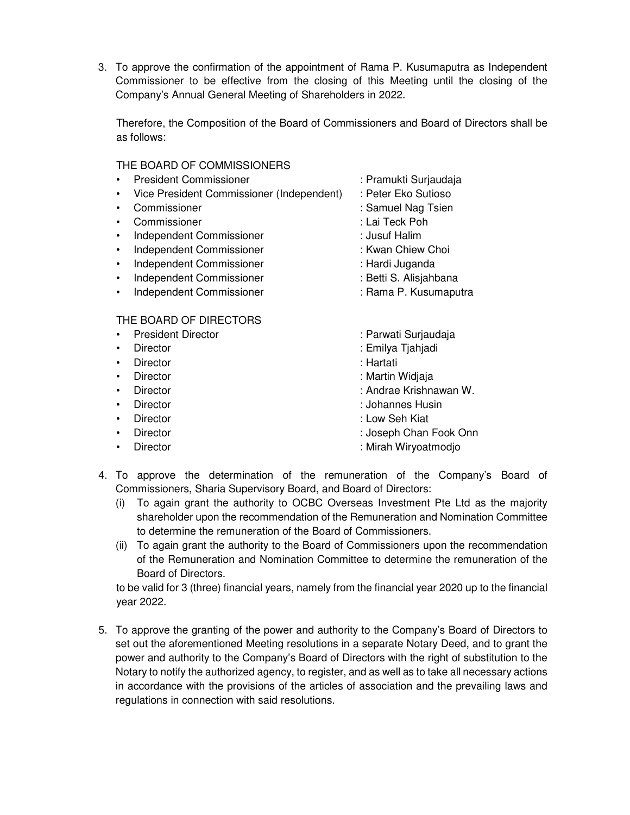3. To approve the confirmation of the appointment of Rama P. Kusumaputra as Independent Commissioner to be effective from the closing of this Meeting until the closing of the Company's Annual General Meeting of Shareholders in 2022.

Therefore, the Composition of the Board of Commissioners and Board of Directors shall be as follows:

#### THE BOARD OF COMMISSIONERS

- President Commissioner : Pramukti Surjaudaja
- Vice President Commissioner (Independent) : Peter Eko Sutioso
- 
- Commissioner : Lai Teck Poh
- Independent Commissioner : Jusuf Halim
- Independent Commissioner : Kwan Chiew Choi
- Independent Commissioner : Hardi Juganda
- Independent Commissioner : Betti S. Alisjahbana
- Independent Commissioner : Rama P. Kusumaputra

# THE BOARD OF DIRECTORS

- President Director **in Community Community** Parwati Surjaudaja
- 
- Director : Hartati
- 
- 
- 
- 
- 
- 
- 
- 
- Commissioner : Samuel Nag Tsien
	-
	-
	-
	-
	-
	- -
- Director : Emilya Tjahjadi
	-
- Director : Martin Widjaja
	- Director : Andrae Krishnawan W.
- Director : Johannes Husin
	- Director : Low Seh Kiat
- Director **in the Chan Fook Onn because the Chan Fook Onn**
- Director **in the contract of the Contract Oriental** Section 2. Mirah Wiryoatmodjo
- 4. To approve the determination of the remuneration of the Company's Board of Commissioners, Sharia Supervisory Board, and Board of Directors:
	- (i) To again grant the authority to OCBC Overseas Investment Pte Ltd as the majority shareholder upon the recommendation of the Remuneration and Nomination Committee to determine the remuneration of the Board of Commissioners.
	- (ii) To again grant the authority to the Board of Commissioners upon the recommendation of the Remuneration and Nomination Committee to determine the remuneration of the Board of Directors.

to be valid for 3 (three) financial years, namely from the financial year 2020 up to the financial year 2022.

5. To approve the granting of the power and authority to the Company's Board of Directors to set out the aforementioned Meeting resolutions in a separate Notary Deed, and to grant the power and authority to the Company's Board of Directors with the right of substitution to the Notary to notify the authorized agency, to register, and as well as to take all necessary actions in accordance with the provisions of the articles of association and the prevailing laws and regulations in connection with said resolutions.